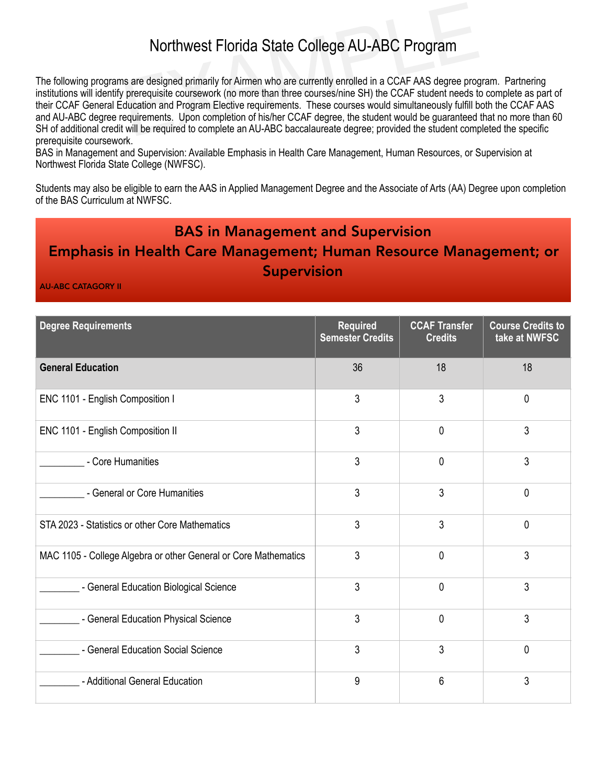## Northwest Florida State College AU-ABC Program

Northwest Florida State College AU-ABC Program<br>s are designed primarily for Airmen who are currently enrolled in a CCAF AAS degree prog<br>prerequisite coursework (no more than three courses/nine SH) the CCAF student needs to The following programs are designed primarily for Airmen who are currently enrolled in a CCAF AAS degree program. Partnering institutions will identify prerequisite coursework (no more than three courses/nine SH) the CCAF student needs to complete as part of their CCAF General Education and Program Elective requirements. These courses would simultaneously fulfill both the CCAF AAS and AU-ABC degree requirements. Upon completion of his/her CCAF degree, the student would be guaranteed that no more than 60 SH of additional credit will be required to complete an AU-ABC baccalaureate degree; provided the student completed the specific prerequisite coursework.

BAS in Management and Supervision: Available Emphasis in Health Care Management, Human Resources, or Supervision at Northwest Florida State College (NWFSC).

Students may also be eligible to earn the AAS in Applied Management Degree and the Associate of Arts (AA) Degree upon completion of the BAS Curriculum at NWFSC.

## BAS in Management and Supervision

## Emphasis in Health Care Management; Human Resource Management; or Supervision

AU-ABC CATAGORY II

| <b>Degree Requirements</b>                                      | <b>Required</b><br><b>Semester Credits</b> | <b>CCAF Transfer</b><br><b>Credits</b> | <b>Course Credits to</b><br>take at NWFSC |
|-----------------------------------------------------------------|--------------------------------------------|----------------------------------------|-------------------------------------------|
| <b>General Education</b>                                        | 36                                         | 18                                     | 18                                        |
| ENC 1101 - English Composition I                                | 3                                          | 3                                      | $\mathbf{0}$                              |
| ENC 1101 - English Composition II                               | 3                                          | $\Omega$                               | 3                                         |
| - Core Humanities                                               | 3                                          | $\mathbf{0}$                           | 3                                         |
| - General or Core Humanities                                    | 3                                          | 3                                      | $\mathbf{0}$                              |
| STA 2023 - Statistics or other Core Mathematics                 | 3                                          | 3                                      | $\mathbf{0}$                              |
| MAC 1105 - College Algebra or other General or Core Mathematics | 3                                          | $\mathbf{0}$                           | 3                                         |
| - General Education Biological Science                          | 3                                          | $\mathbf{0}$                           | 3                                         |
| - General Education Physical Science                            | 3                                          | $\Omega$                               | 3                                         |
| - General Education Social Science                              | 3                                          | 3                                      | $\mathbf{0}$                              |
| - Additional General Education                                  | 9                                          | 6                                      | 3                                         |